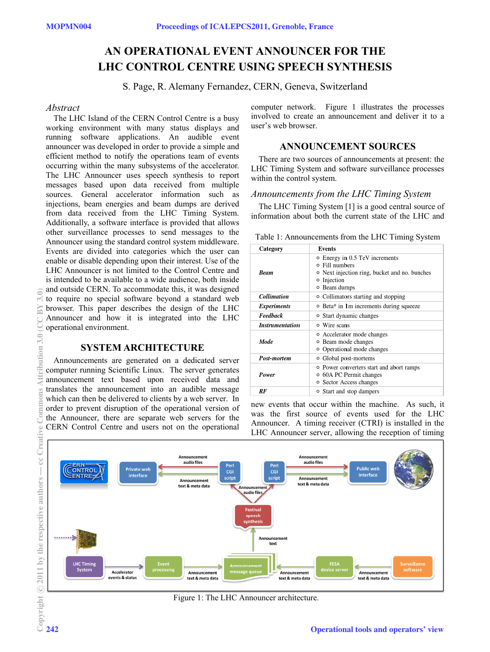# **AN OPERATIONAL EVENT ANNOUNCER FOR THE LHC CONTROL CENTRE USING SPEECH SYNTHESIS**

S. Page, R. Alemany Fernandez, CERN, Geneva, Switzerland

#### *Abstract*

The LHC Island of the CERN Control Centre is a busy working environment with many status displays and running software applications. An audible event announcer was developed in order to provide a simple and efficient method to notify the operations team of events occurring within the many subsystems of the accelerator. The LHC Announcer uses speech synthesis to report messages based upon data received from multiple sources. General accelerator information such as injections, beam energies and beam dumps are derived from data received from the LHC Timing System. Additionally, a software interface is provided that allows other surveillance processes to send messages to the Announcer using the standard control system middleware. Events are divided into categories which the user can enable or disable depending upon their interest. Use of the LHC Announcer is not limited to the Control Centre and is intended to be available to a wide audience, both inside and outside CERN. To accommodate this, it was designed to require no special software beyond a standard web browser. This paper describes the design of the LHC Announcer and how it is integrated into the LHC operational environment.

# **SYSTEM ARCHITECTURE**

Announcements are generated on a dedicated server computer running Scientific Linux. The server generates announcement text based upon received data and translates the announcement into an audible message which can then be delivered to clients by a web server. In order to prevent disruption of the operational version of the Announcer, there are separate web servers for the CERN Control Centre and users not on the operational

computer network. Figure 1 illustrates the processes involved to create an announcement and deliver it to a user's web browser.

# **ANNOUNCEMENT SOURCES**

There are two sources of announcements at present: the LHC Timing System and software surveillance processes within the control system.

# *Announcements from the LHC Timing System*

The LHC Timing System [1] is a good central source of information about both the current state of the LHC and

| Table 1: Announcements from the LHC Timing System |  |  |  |  |  |
|---------------------------------------------------|--|--|--|--|--|
|---------------------------------------------------|--|--|--|--|--|

| Category                      | Events                                                                                                                                              |
|-------------------------------|-----------------------------------------------------------------------------------------------------------------------------------------------------|
| Beam                          | ○ Energy in 0.5 TeV increments<br>Fill numbers<br>$\circ$<br>• Next injection ring, bucket and no. bunches<br>Injection<br>o<br><b>o</b> Beam dumps |
| <b>Collimation</b>            | • Collimators starting and stopping                                                                                                                 |
| <i><b>Experiments</b></i>     | ○ Beta* in 1m increments during squeeze                                                                                                             |
| Feedback                      | • Start dynamic changes                                                                                                                             |
| <i><b>Instrumentation</b></i> | o Wire scans                                                                                                                                        |
| Mode                          | • Accelerator mode changes<br>o Beam mode changes<br>• Operational mode changes                                                                     |
| Post-mortem                   | ○ Global post-mortems                                                                                                                               |
| Power                         | • Power converters start and abort ramps<br>○ 60A PC Permit changes<br><b>•</b> Sector Access changes                                               |
| RF                            | ○ Start and stop dampers                                                                                                                            |

new events that occur within the machine. As such, it was the first source of events used for the LHC Announcer. A timing receiver (CTRI) is installed in the LHC Announcer server, allowing the reception of timing



Figure 1: The LHC Announcer architecture.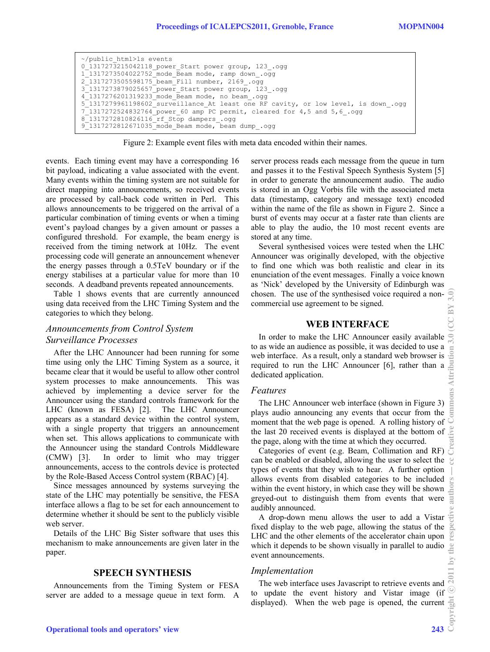```
~/public_html>ls events 
0_1317273215042118_power_Start power group, 123_.ogg 
1_1317273504022752_mode_Beam mode, ramp down_.ogg 
2_1317273505598175_beam_Fill number, 2169_.ogg 
3_1317273879025657_power_Start power group, 123_.ogg 
4_1317276201319233_mode_Beam mode, no beam_.ogg 
5_1317279961198602_surveillance_At least one RF cavity, or low level, is down_.ogg 
7^{\degree}1317272524832764^{\degree}power 60 amp PC permit, cleared for 4,5 and 5,6.ogg
8_1317272810826116_rf_Stop dampers_.ogg 
9_1317272812671035_mode_Beam mode, beam dump_.ogg
```
Figure 2: Example event files with meta data encoded within their names.

events. Each timing event may have a corresponding 16 bit payload, indicating a value associated with the event. Many events within the timing system are not suitable for direct mapping into announcements, so received events are processed by call-back code written in Perl. This allows announcements to be triggered on the arrival of a particular combination of timing events or when a timing event's payload changes by a given amount or passes a configured threshold. For example, the beam energy is received from the timing network at 10Hz. The event processing code will generate an announcement whenever the energy passes through a 0.5TeV boundary or if the energy stabilises at a particular value for more than 10 seconds. A deadband prevents repeated announcements.

Table 1 shows events that are currently announced using data received from the LHC Timing System and the categories to which they belong.

# *Announcements from Control System Surveillance Processes*

After the LHC Announcer had been running for some time using only the LHC Timing System as a source, it became clear that it would be useful to allow other control system processes to make announcements. This was achieved by implementing a device server for the Announcer using the standard controls framework for the LHC (known as FESA) [2]. The LHC Announcer appears as a standard device within the control system, with a single property that triggers an announcement when set. This allows applications to communicate with the Announcer using the standard Controls Middleware (CMW) [3]. In order to limit who may trigger announcements, access to the controls device is protected by the Role-Based Access Control system (RBAC) [4].

Since messages announced by systems surveying the state of the LHC may potentially be sensitive, the FESA interface allows a flag to be set for each announcement to determine whether it should be sent to the publicly visible web server.

Details of the LHC Big Sister software that uses this mechanism to make announcements are given later in the paper.

# **SPEECH SYNTHESIS**

Announcements from the Timing System or FESA server are added to a message queue in text form. A server process reads each message from the queue in turn and passes it to the Festival Speech Synthesis System [5] in order to generate the announcement audio. The audio is stored in an Ogg Vorbis file with the associated meta data (timestamp, category and message text) encoded within the name of the file as shown in Figure 2. Since a burst of events may occur at a faster rate than clients are able to play the audio, the 10 most recent events are stored at any time.

Several synthesised voices were tested when the LHC Announcer was originally developed, with the objective to find one which was both realistic and clear in its enunciation of the event messages. Finally a voice known as 'Nick' developed by the University of Edinburgh was chosen. The use of the synthesised voice required a noncommercial use agreement to be signed.

# **WEB INTERFACE**

In order to make the LHC Announcer easily available to as wide an audience as possible, it was decided to use a web interface. As a result, only a standard web browser is required to run the LHC Announcer [6], rather than a dedicated application.

# *Features*

The LHC Announcer web interface (shown in Figure 3) plays audio announcing any events that occur from the moment that the web page is opened. A rolling history of the last 20 received events is displayed at the bottom of the page, along with the time at which they occurred.

Categories of event (e.g. Beam, Collimation and RF)  $\overline{5}$ can be enabled or disabled, allowing the user to select the types of events that they wish to hear. A further option allows events from disabled categories to be included within the event history, in which case they will be shown  $\geq$ greyed-out to distinguish them from events that were audibly announced.

A drop-down menu allows the user to add a Vistar fixed display to the web page, allowing the status of the LHC and the other elements of the accelerator chain upon which it depends to be shown visually in parallel to audio event announcements.

# *Implementation*

The web interface uses Javascript to retrieve events and to update the event history and Vistar image (if displayed). When the web page is opened, the current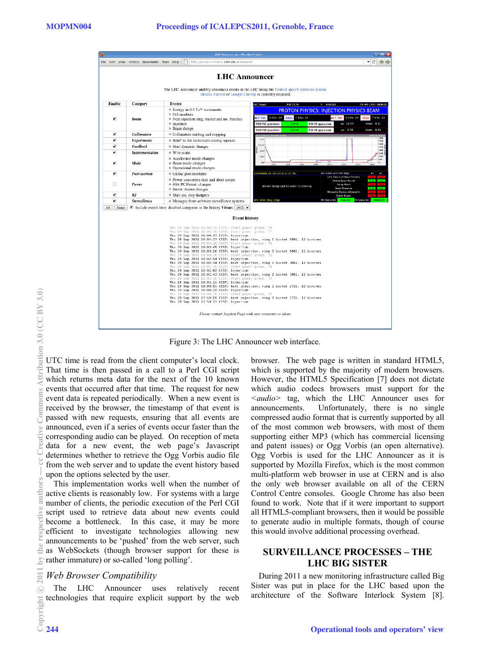

Figure 3: The LHC Announcer web interface.

UTC time is read from the client computer's local clock. That time is then passed in a call to a Perl CGI script which returns meta data for the next of the 10 known events that occurred after that time. The request for new event data is repeated periodically. When a new event is received by the browser, the timestamp of that event is passed with new requests, ensuring that all events are announced, even if a series of events occur faster than the corresponding audio can be played. On reception of meta data for a new event, the web page's Javascript determines whether to retrieve the Ogg Vorbis audio file from the web server and to update the event history based upon the options selected by the user.

This implementation works well when the number of active clients is reasonably low. For systems with a large number of clients, the periodic execution of the Perl CGI script used to retrieve data about new events could become a bottleneck. In this case, it may be more efficient to investigate technologies allowing new announcements to be 'pushed' from the web server, such as WebSockets (though browser support for these is rather immature) or so-called 'long polling'.

# *Web Bro wser Compatibility*

The LHC Announcer uses relatively recent technologies that require explicit support by the web browser. The web page is written in standard HTML5, which is supported by the majority of modern browsers. However, the HTML5 Specification [7] does not dictate which audio codecs browsers must support for the *<audio>* tag, which the LHC Announcer uses for announcements. Unfortunately, there is no single compressed audio format that is currently supported by all of the most common web browsers, with most of them supporting either MP3 (which has commercial licensing and patent issues) or Ogg Vorbis (an open alternative). Ogg Vorbis is used for the LHC Announcer as it is supported by Mozilla Firefox, which is the most common multi-platform web browser in use at CERN and is also the only web browser available on all of the CERN Control Centre consoles. Google Chrome has also been found to work. Note that if it were important to support all HTML5-compliant browsers, then it would be possible to generate audio in multiple formats, though of course this would involve additional processing overhead.

# **SURVEILLANCE PROCESSES – THE LHC BIG SISTER**

During 2011 a new monitoring infrastructure called Big Sister was put in place for the LHC based upon the architecture of the Software Interlock System [8].